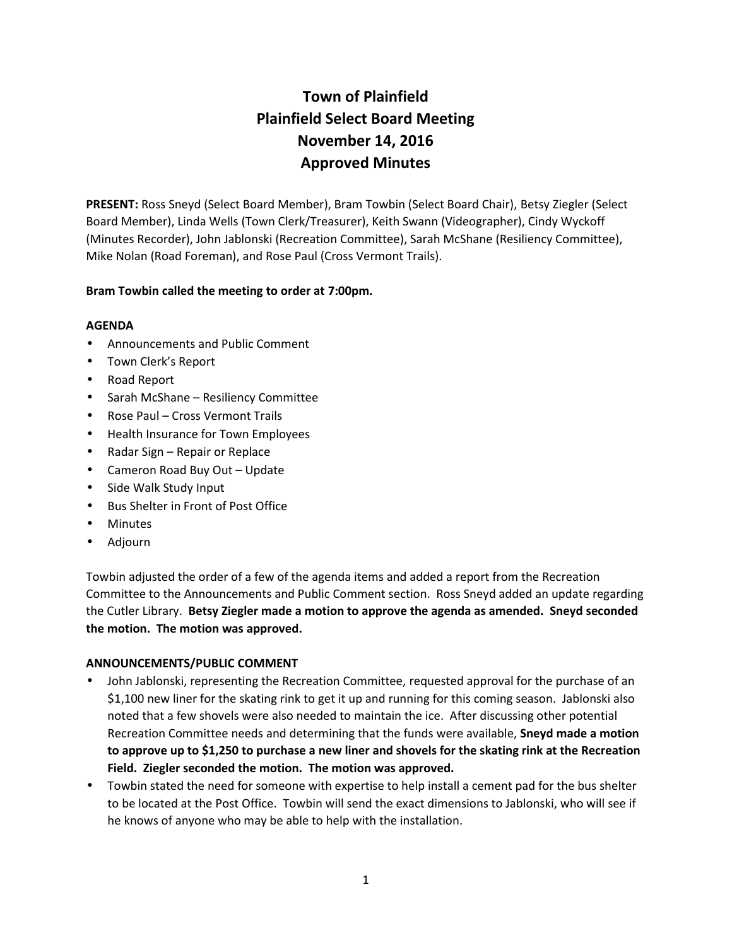# **Town of Plainfield Plainfield Select Board Meeting November 14, 2016 Approved Minutes**

**PRESENT:** Ross Sneyd (Select Board Member), Bram Towbin (Select Board Chair), Betsy Ziegler (Select Board Member), Linda Wells (Town Clerk/Treasurer), Keith Swann (Videographer), Cindy Wyckoff (Minutes Recorder), John Jablonski (Recreation Committee), Sarah McShane (Resiliency Committee), Mike Nolan (Road Foreman), and Rose Paul (Cross Vermont Trails).

# **Bram Towbin called the meeting to order at 7:00pm.**

# **AGENDA**

- Announcements and Public Comment
- Town Clerk's Report
- Road Report
- Sarah McShane Resiliency Committee
- Rose Paul Cross Vermont Trails
- Health Insurance for Town Employees
- Radar Sign Repair or Replace
- Cameron Road Buy Out Update
- Side Walk Study Input
- Bus Shelter in Front of Post Office
- Minutes
- Adjourn

Towbin adjusted the order of a few of the agenda items and added a report from the Recreation Committee to the Announcements and Public Comment section. Ross Sneyd added an update regarding the Cutler Library. **Betsy Ziegler made a motion to approve the agenda as amended. Sneyd seconded the motion. The motion was approved.**

# **ANNOUNCEMENTS/PUBLIC COMMENT**

- John Jablonski, representing the Recreation Committee, requested approval for the purchase of an \$1,100 new liner for the skating rink to get it up and running for this coming season. Jablonski also noted that a few shovels were also needed to maintain the ice. After discussing other potential Recreation Committee needs and determining that the funds were available, **Sneyd made a motion to approve up to \$1,250 to purchase a new liner and shovels for the skating rink at the Recreation Field. Ziegler seconded the motion. The motion was approved.**
- Towbin stated the need for someone with expertise to help install a cement pad for the bus shelter to be located at the Post Office. Towbin will send the exact dimensions to Jablonski, who will see if he knows of anyone who may be able to help with the installation.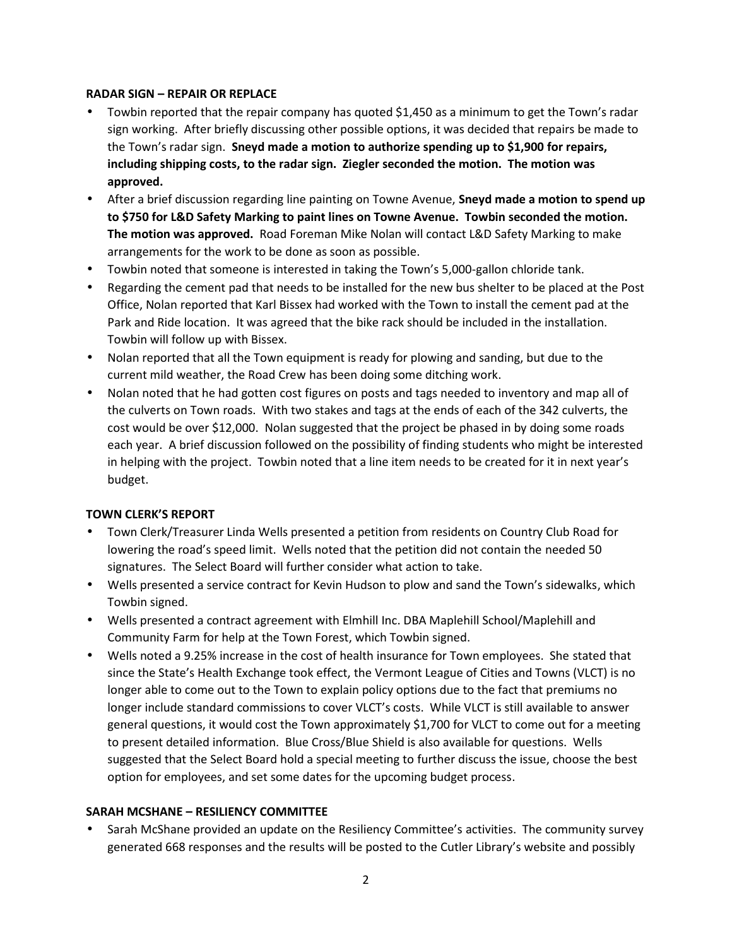# **RADAR SIGN – REPAIR OR REPLACE**

- Towbin reported that the repair company has quoted \$1,450 as a minimum to get the Town's radar sign working. After briefly discussing other possible options, it was decided that repairs be made to the Town's radar sign. **Sneyd made a motion to authorize spending up to \$1,900 for repairs, including shipping costs, to the radar sign. Ziegler seconded the motion. The motion was approved.**
- After a brief discussion regarding line painting on Towne Avenue, **Sneyd made a motion to spend up to \$750 for L&D Safety Marking to paint lines on Towne Avenue. Towbin seconded the motion. The motion was approved.** Road Foreman Mike Nolan will contact L&D Safety Marking to make arrangements for the work to be done as soon as possible.
- Towbin noted that someone is interested in taking the Town's 5,000-gallon chloride tank.
- Regarding the cement pad that needs to be installed for the new bus shelter to be placed at the Post Office, Nolan reported that Karl Bissex had worked with the Town to install the cement pad at the Park and Ride location. It was agreed that the bike rack should be included in the installation. Towbin will follow up with Bissex.
- Nolan reported that all the Town equipment is ready for plowing and sanding, but due to the current mild weather, the Road Crew has been doing some ditching work.
- Nolan noted that he had gotten cost figures on posts and tags needed to inventory and map all of the culverts on Town roads. With two stakes and tags at the ends of each of the 342 culverts, the cost would be over \$12,000. Nolan suggested that the project be phased in by doing some roads each year. A brief discussion followed on the possibility of finding students who might be interested in helping with the project. Towbin noted that a line item needs to be created for it in next year's budget.

# **TOWN CLERK'S REPORT**

- Town Clerk/Treasurer Linda Wells presented a petition from residents on Country Club Road for lowering the road's speed limit. Wells noted that the petition did not contain the needed 50 signatures. The Select Board will further consider what action to take.
- Wells presented a service contract for Kevin Hudson to plow and sand the Town's sidewalks, which Towbin signed.
- Wells presented a contract agreement with Elmhill Inc. DBA Maplehill School/Maplehill and Community Farm for help at the Town Forest, which Towbin signed.
- Wells noted a 9.25% increase in the cost of health insurance for Town employees. She stated that since the State's Health Exchange took effect, the Vermont League of Cities and Towns (VLCT) is no longer able to come out to the Town to explain policy options due to the fact that premiums no longer include standard commissions to cover VLCT's costs. While VLCT is still available to answer general questions, it would cost the Town approximately \$1,700 for VLCT to come out for a meeting to present detailed information. Blue Cross/Blue Shield is also available for questions. Wells suggested that the Select Board hold a special meeting to further discuss the issue, choose the best option for employees, and set some dates for the upcoming budget process.

# **SARAH MCSHANE – RESILIENCY COMMITTEE**

 Sarah McShane provided an update on the Resiliency Committee's activities. The community survey generated 668 responses and the results will be posted to the Cutler Library's website and possibly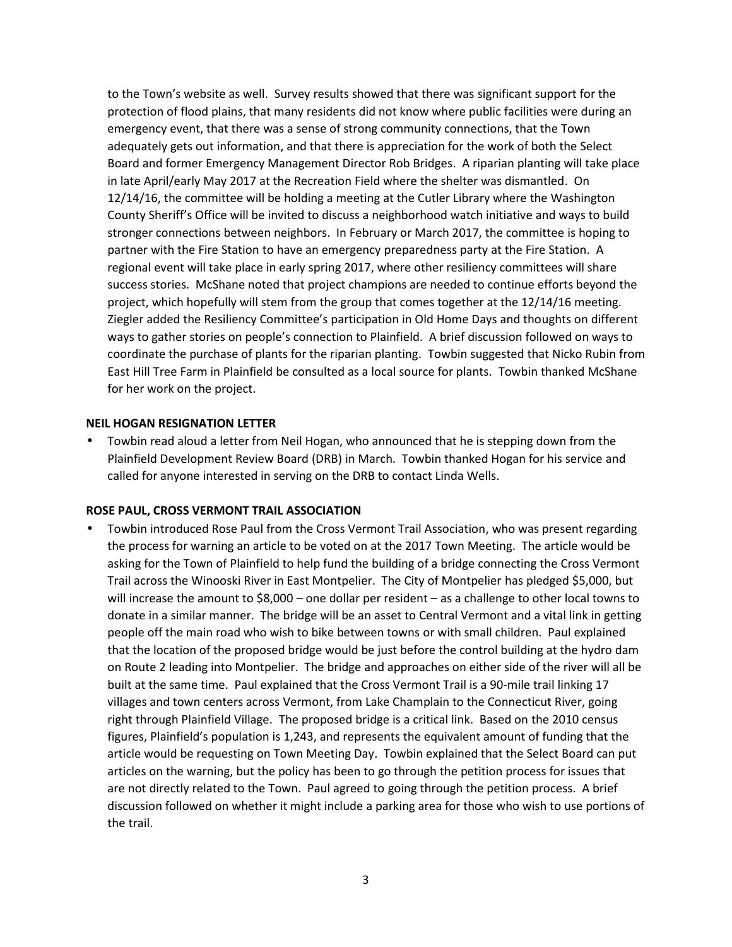to the Town's website as well. Survey results showed that there was significant support for the protection of flood plains, that many residents did not know where public facilities were during an emergency event, that there was a sense of strong community connections, that the Town adequately gets out information, and that there is appreciation for the work of both the Select Board and former Emergency Management Director Rob Bridges. A riparian planting will take place in late April/early May 2017 at the Recreation Field where the shelter was dismantled. On 12/14/16, the committee will be holding a meeting at the Cutler Library where the Washington County Sheriff's Office will be invited to discuss a neighborhood watch initiative and ways to build stronger connections between neighbors. In February or March 2017, the committee is hoping to partner with the Fire Station to have an emergency preparedness party at the Fire Station. A regional event will take place in early spring 2017, where other resiliency committees will share success stories. McShane noted that project champions are needed to continue efforts beyond the project, which hopefully will stem from the group that comes together at the 12/14/16 meeting. Ziegler added the Resiliency Committee's participation in Old Home Days and thoughts on different ways to gather stories on people's connection to Plainfield. A brief discussion followed on ways to coordinate the purchase of plants for the riparian planting. Towbin suggested that Nicko Rubin from East Hill Tree Farm in Plainfield be consulted as a local source for plants. Towbin thanked McShane for her work on the project.

#### **NEIL HOGAN RESIGNATION LETTER**

 Towbin read aloud a letter from Neil Hogan, who announced that he is stepping down from the Plainfield Development Review Board (DRB) in March. Towbin thanked Hogan for his service and called for anyone interested in serving on the DRB to contact Linda Wells.

#### **ROSE PAUL, CROSS VERMONT TRAIL ASSOCIATION**

 Towbin introduced Rose Paul from the Cross Vermont Trail Association, who was present regarding the process for warning an article to be voted on at the 2017 Town Meeting. The article would be asking for the Town of Plainfield to help fund the building of a bridge connecting the Cross Vermont Trail across the Winooski River in East Montpelier. The City of Montpelier has pledged \$5,000, but will increase the amount to \$8,000 – one dollar per resident – as a challenge to other local towns to donate in a similar manner. The bridge will be an asset to Central Vermont and a vital link in getting people off the main road who wish to bike between towns or with small children. Paul explained that the location of the proposed bridge would be just before the control building at the hydro dam on Route 2 leading into Montpelier. The bridge and approaches on either side of the river will all be built at the same time. Paul explained that the Cross Vermont Trail is a 90-mile trail linking 17 villages and town centers across Vermont, from Lake Champlain to the Connecticut River, going right through Plainfield Village. The proposed bridge is a critical link. Based on the 2010 census figures, Plainfield's population is 1,243, and represents the equivalent amount of funding that the article would be requesting on Town Meeting Day. Towbin explained that the Select Board can put articles on the warning, but the policy has been to go through the petition process for issues that are not directly related to the Town. Paul agreed to going through the petition process. A brief discussion followed on whether it might include a parking area for those who wish to use portions of the trail.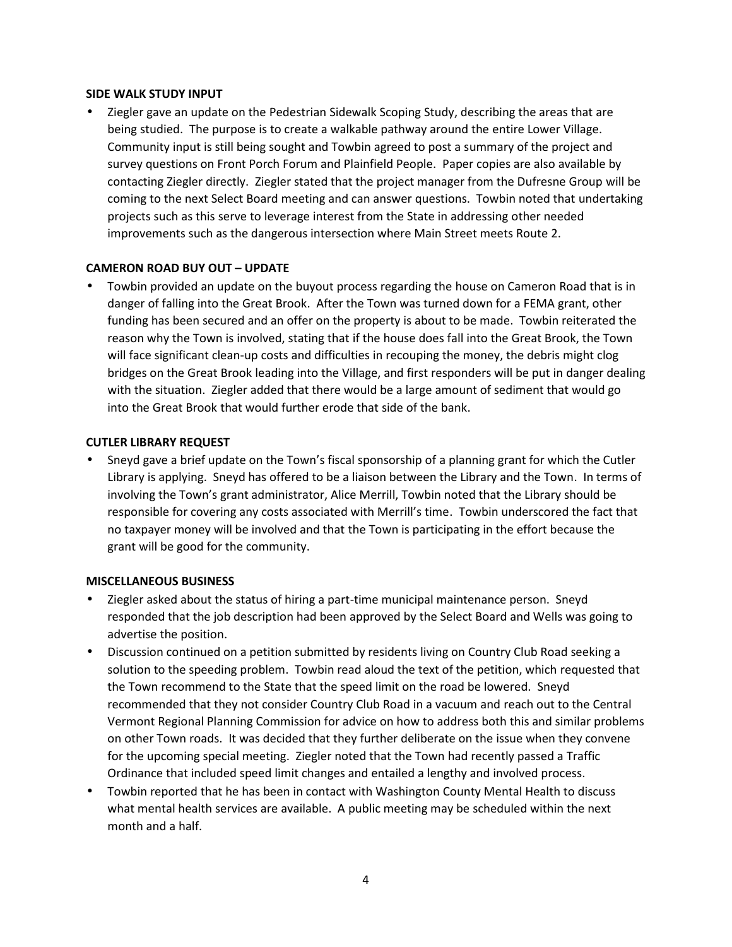## **SIDE WALK STUDY INPUT**

 Ziegler gave an update on the Pedestrian Sidewalk Scoping Study, describing the areas that are being studied. The purpose is to create a walkable pathway around the entire Lower Village. Community input is still being sought and Towbin agreed to post a summary of the project and survey questions on Front Porch Forum and Plainfield People. Paper copies are also available by contacting Ziegler directly. Ziegler stated that the project manager from the Dufresne Group will be coming to the next Select Board meeting and can answer questions. Towbin noted that undertaking projects such as this serve to leverage interest from the State in addressing other needed improvements such as the dangerous intersection where Main Street meets Route 2.

# **CAMERON ROAD BUY OUT – UPDATE**

 Towbin provided an update on the buyout process regarding the house on Cameron Road that is in danger of falling into the Great Brook. After the Town was turned down for a FEMA grant, other funding has been secured and an offer on the property is about to be made. Towbin reiterated the reason why the Town is involved, stating that if the house does fall into the Great Brook, the Town will face significant clean-up costs and difficulties in recouping the money, the debris might clog bridges on the Great Brook leading into the Village, and first responders will be put in danger dealing with the situation. Ziegler added that there would be a large amount of sediment that would go into the Great Brook that would further erode that side of the bank.

## **CUTLER LIBRARY REQUEST**

 Sneyd gave a brief update on the Town's fiscal sponsorship of a planning grant for which the Cutler Library is applying. Sneyd has offered to be a liaison between the Library and the Town. In terms of involving the Town's grant administrator, Alice Merrill, Towbin noted that the Library should be responsible for covering any costs associated with Merrill's time. Towbin underscored the fact that no taxpayer money will be involved and that the Town is participating in the effort because the grant will be good for the community.

#### **MISCELLANEOUS BUSINESS**

- Ziegler asked about the status of hiring a part-time municipal maintenance person. Sneyd responded that the job description had been approved by the Select Board and Wells was going to advertise the position.
- Discussion continued on a petition submitted by residents living on Country Club Road seeking a solution to the speeding problem. Towbin read aloud the text of the petition, which requested that the Town recommend to the State that the speed limit on the road be lowered. Sneyd recommended that they not consider Country Club Road in a vacuum and reach out to the Central Vermont Regional Planning Commission for advice on how to address both this and similar problems on other Town roads. It was decided that they further deliberate on the issue when they convene for the upcoming special meeting. Ziegler noted that the Town had recently passed a Traffic Ordinance that included speed limit changes and entailed a lengthy and involved process.
- Towbin reported that he has been in contact with Washington County Mental Health to discuss what mental health services are available. A public meeting may be scheduled within the next month and a half.